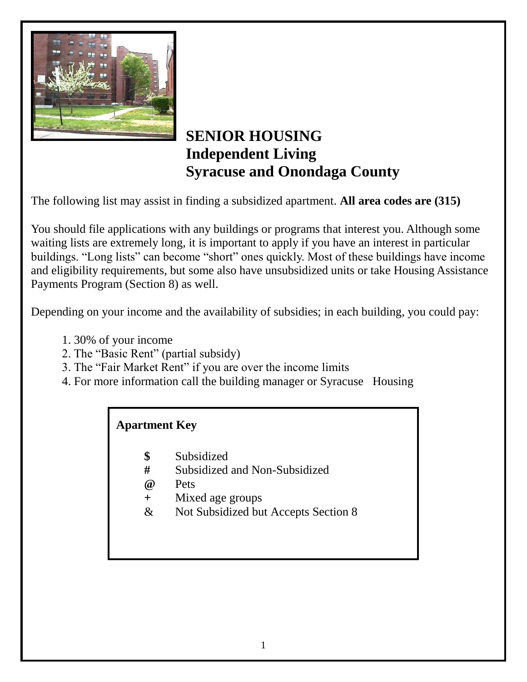

## **SENIOR HOUSING Independent Living Syracuse and Onondaga County**

The following list may assist in finding a subsidized apartment. **All area codes are (315)**

You should file applications with any buildings or programs that interest you. Although some waiting lists are extremely long, it is important to apply if you have an interest in particular buildings. "Long lists" can become "short" ones quickly. Most of these buildings have income and eligibility requirements, but some also have unsubsidized units or take Housing Assistance Payments Program (Section 8) as well.

Depending on your income and the availability of subsidies; in each building, you could pay:

- 1. 30% of your income
- 2. The "Basic Rent" (partial subsidy)
- 3. The "Fair Market Rent" if you are over the income limits
- 4. For more information call the building manager or Syracuse Housing

## **Apartment Key**

- **\$** Subsidized
- **#** Subsidized and Non-Subsidized
- **@** Pets
- **+** Mixed age groups
- & Not Subsidized but Accepts Section 8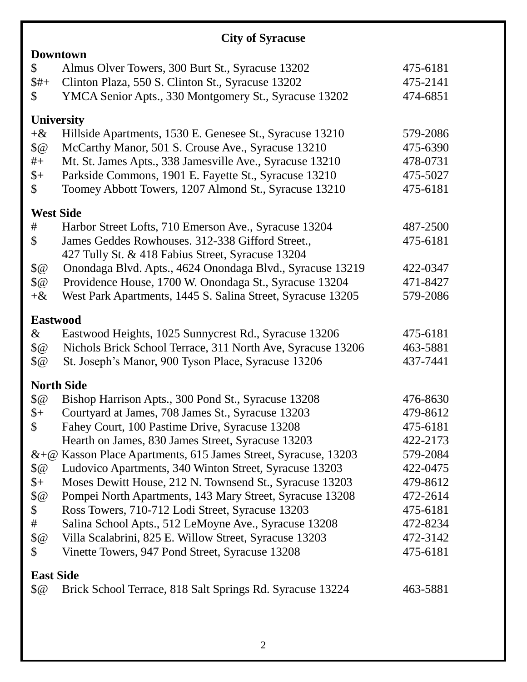## **City of Syracuse**

| <b>Downtown</b>    |                                                                |          |  |  |  |
|--------------------|----------------------------------------------------------------|----------|--|--|--|
| \$                 | Almus Olver Towers, 300 Burt St., Syracuse 13202               | 475-6181 |  |  |  |
| $$#+$              | Clinton Plaza, 550 S. Clinton St., Syracuse 13202              | 475-2141 |  |  |  |
| $\mathbb{S}$       | YMCA Senior Apts., 330 Montgomery St., Syracuse 13202          | 474-6851 |  |  |  |
|                    |                                                                |          |  |  |  |
|                    | <b>University</b>                                              |          |  |  |  |
| $+8$               | Hillside Apartments, 1530 E. Genesee St., Syracuse 13210       | 579-2086 |  |  |  |
| $\sqrt{6}$         | McCarthy Manor, 501 S. Crouse Ave., Syracuse 13210             | 475-6390 |  |  |  |
| $#+$               | Mt. St. James Apts., 338 Jamesville Ave., Syracuse 13210       | 478-0731 |  |  |  |
| $\frac{1}{2}$      | Parkside Commons, 1901 E. Fayette St., Syracuse 13210          | 475-5027 |  |  |  |
| $\mathbb{S}$       | Toomey Abbott Towers, 1207 Almond St., Syracuse 13210          | 475-6181 |  |  |  |
|                    | <b>West Side</b>                                               |          |  |  |  |
| #                  | Harbor Street Lofts, 710 Emerson Ave., Syracuse 13204          | 487-2500 |  |  |  |
| \$                 | James Geddes Rowhouses. 312-338 Gifford Street.,               | 475-6181 |  |  |  |
|                    | 427 Tully St. & 418 Fabius Street, Syracuse 13204              |          |  |  |  |
| $\sqrt{6}$         | Onondaga Blvd. Apts., 4624 Onondaga Blvd., Syracuse 13219      | 422-0347 |  |  |  |
| $\sqrt{6}$         | Providence House, 1700 W. Onondaga St., Syracuse 13204         | 471-8427 |  |  |  |
| $+8$               | West Park Apartments, 1445 S. Salina Street, Syracuse 13205    | 579-2086 |  |  |  |
|                    | <b>Eastwood</b>                                                |          |  |  |  |
| $\&$               | Eastwood Heights, 1025 Sunnycrest Rd., Syracuse 13206          | 475-6181 |  |  |  |
| $\sqrt[6]{\omega}$ | Nichols Brick School Terrace, 311 North Ave, Syracuse 13206    | 463-5881 |  |  |  |
| $\sqrt{6}$         | St. Joseph's Manor, 900 Tyson Place, Syracuse 13206            | 437-7441 |  |  |  |
|                    | <b>North Side</b>                                              |          |  |  |  |
| $\sqrt{6}$         | Bishop Harrison Apts., 300 Pond St., Syracuse 13208            | 476-8630 |  |  |  |
| $\frac{1}{2}$      | Courtyard at James, 708 James St., Syracuse 13203              | 479-8612 |  |  |  |
| $\mathcal{S}$      | Fahey Court, 100 Pastime Drive, Syracuse 13208                 | 475-6181 |  |  |  |
|                    | Hearth on James, 830 James Street, Syracuse 13203              | 422-2173 |  |  |  |
|                    | &+@ Kasson Place Apartments, 615 James Street, Syracuse, 13203 | 579-2084 |  |  |  |
| $\sqrt{6}$         | Ludovico Apartments, 340 Winton Street, Syracuse 13203         | 422-0475 |  |  |  |
| $\frac{1}{2}$      | Moses Dewitt House, 212 N. Townsend St., Syracuse 13203        | 479-8612 |  |  |  |
| $\sqrt[6]{\omega}$ | Pompei North Apartments, 143 Mary Street, Syracuse 13208       | 472-2614 |  |  |  |
| \$                 | Ross Towers, 710-712 Lodi Street, Syracuse 13203               | 475-6181 |  |  |  |
| #                  | Salina School Apts., 512 LeMoyne Ave., Syracuse 13208          | 472-8234 |  |  |  |
| $\sqrt[6]{\omega}$ | Villa Scalabrini, 825 E. Willow Street, Syracuse 13203         | 472-3142 |  |  |  |
| \$                 | Vinette Towers, 947 Pond Street, Syracuse 13208                | 475-6181 |  |  |  |
|                    |                                                                |          |  |  |  |
| <b>East Side</b>   |                                                                |          |  |  |  |
| $\sqrt{6}$         | Brick School Terrace, 818 Salt Springs Rd. Syracuse 13224      | 463-5881 |  |  |  |
|                    |                                                                |          |  |  |  |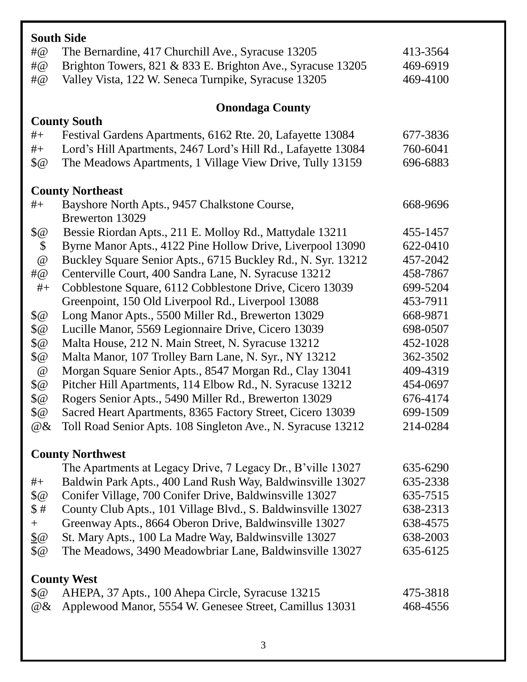| <b>South Side</b>       |                                                               |          |  |  |
|-------------------------|---------------------------------------------------------------|----------|--|--|
| $\#@$                   | The Bernardine, 417 Churchill Ave., Syracuse 13205            | 413-3564 |  |  |
| $\#@$                   | Brighton Towers, 821 & 833 E. Brighton Ave., Syracuse 13205   | 469-6919 |  |  |
| #@                      | Valley Vista, 122 W. Seneca Turnpike, Syracuse 13205          | 469-4100 |  |  |
|                         |                                                               |          |  |  |
|                         | <b>Onondaga County</b>                                        |          |  |  |
|                         | <b>County South</b>                                           |          |  |  |
| $#+$                    | Festival Gardens Apartments, 6162 Rte. 20, Lafayette 13084    | 677-3836 |  |  |
| $\# +$                  | Lord's Hill Apartments, 2467 Lord's Hill Rd., Lafayette 13084 | 760-6041 |  |  |
| $\sqrt{6}$              | The Meadows Apartments, 1 Village View Drive, Tully 13159     | 696-6883 |  |  |
| <b>County Northeast</b> |                                                               |          |  |  |
| $#_{+}$                 | Bayshore North Apts., 9457 Chalkstone Course,                 | 668-9696 |  |  |
|                         | Brewerton 13029                                               |          |  |  |
| $\sqrt[6]{\omega}$      | Bessie Riordan Apts., 211 E. Molloy Rd., Mattydale 13211      | 455-1457 |  |  |
| \$                      | Byrne Manor Apts., 4122 Pine Hollow Drive, Liverpool 13090    | 622-0410 |  |  |
| @                       | Buckley Square Senior Apts., 6715 Buckley Rd., N. Syr. 13212  | 457-2042 |  |  |
| # $@$                   | Centerville Court, 400 Sandra Lane, N. Syracuse 13212         | 458-7867 |  |  |
| $#+$                    | Cobblestone Square, 6112 Cobblestone Drive, Cicero 13039      | 699-5204 |  |  |
|                         | Greenpoint, 150 Old Liverpool Rd., Liverpool 13088            | 453-7911 |  |  |
| $\sqrt[6]{\omega}$      | Long Manor Apts., 5500 Miller Rd., Brewerton 13029            | 668-9871 |  |  |
| \$@                     | Lucille Manor, 5569 Legionnaire Drive, Cicero 13039           | 698-0507 |  |  |
| \$@                     | Malta House, 212 N. Main Street, N. Syracuse 13212            | 452-1028 |  |  |
| \$@                     | Malta Manor, 107 Trolley Barn Lane, N. Syr., NY 13212         | 362-3502 |  |  |
| $^{\, \circledR}$       | Morgan Square Senior Apts., 8547 Morgan Rd., Clay 13041       | 409-4319 |  |  |
| $\sqrt{2}$              | Pitcher Hill Apartments, 114 Elbow Rd., N. Syracuse 13212     | 454-0697 |  |  |
| $\sqrt[6]{\omega}$      | Rogers Senior Apts., 5490 Miller Rd., Brewerton 13029         | 676-4174 |  |  |
| \$@                     | Sacred Heart Apartments, 8365 Factory Street, Cicero 13039    | 699-1509 |  |  |
| $@ \&$                  | Toll Road Senior Apts. 108 Singleton Ave., N. Syracuse 13212  | 214-0284 |  |  |
| <b>County Northwest</b> |                                                               |          |  |  |
|                         | The Apartments at Legacy Drive, 7 Legacy Dr., B'ville 13027   | 635-6290 |  |  |
| $#+$                    | Baldwin Park Apts., 400 Land Rush Way, Baldwinsville 13027    | 635-2338 |  |  |
| $\sqrt[6]{\omega}$      | Conifer Village, 700 Conifer Drive, Baldwinsville 13027       | 635-7515 |  |  |
| \$#                     | County Club Apts., 101 Village Blvd., S. Baldwinsville 13027  | 638-2313 |  |  |
| $+$                     | Greenway Apts., 8664 Oberon Drive, Baldwinsville 13027        | 638-4575 |  |  |
| $\underline{\$}\omega$  | St. Mary Apts., 100 La Madre Way, Baldwinsville 13027         | 638-2003 |  |  |
| $\sqrt[6]{\omega}$      | The Meadows, 3490 Meadowbriar Lane, Baldwinsville 13027       | 635-6125 |  |  |
| <b>County West</b>      |                                                               |          |  |  |
| $\sqrt{6}$              | AHEPA, 37 Apts., 100 Ahepa Circle, Syracuse 13215             | 475-3818 |  |  |
| $@ \&$                  | Applewood Manor, 5554 W. Genesee Street, Camillus 13031       | 468-4556 |  |  |
|                         |                                                               |          |  |  |